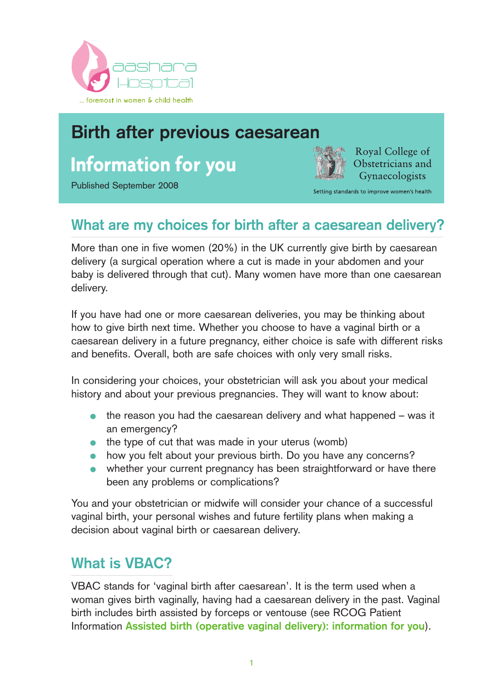

# **Birth after previous caesarean**

# **Information for you**

Published September 2008



Royal College of Obstetricians and **Gynaecologists** 

Setting standards to improve women's health

# **What are my choices for birth after a caesarean delivery?**

More than one in five women (20%) in the UK currently give birth by caesarean delivery (a surgical operation where a cut is made in your abdomen and your baby is delivered through that cut). Many women have more than one caesarean delivery.

If you have had one or more caesarean deliveries, you may be thinking about how to give birth next time. Whether you choose to have a vaginal birth or a caesarean delivery in a future pregnancy, either choice is safe with different risks and benefits. Overall, both are safe choices with only very small risks.

In considering your choices, your obstetrician will ask you about your medical history and about your previous pregnancies. They will want to know about:

- the reason you had the caesarean delivery and what happened was it  $\bullet$ an emergency?
- $\bullet$  the type of cut that was made in your uterus (womb)
- how you felt about your previous birth. Do you have any concerns?
- whether your current pregnancy has been straightforward or have there been any problems or complications?

You and your obstetrician or midwife will consider your chance of a successful vaginal birth, your personal wishes and future fertility plans when making a decision about vaginal birth or caesarean delivery.

### **What is VBAC?**

VBAC stands for 'vaginal birth after caesarean'. It is the term used when a woman gives birth vaginally, having had a caesarean delivery in the past. Vaginal birth includes birth assisted by forceps or ventouse (see RCOG Patient Information **Assisted birth (operative vaginal delivery): information for you**).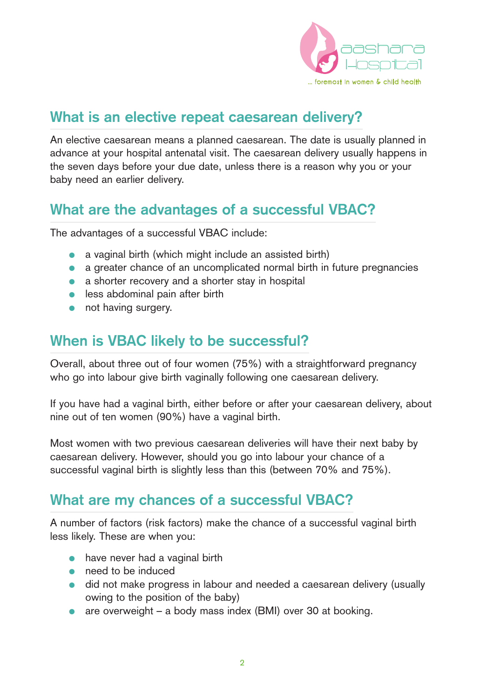

### **What is an elective repeat caesarean delivery?**

An elective caesarean means a planned caesarean. The date is usually planned in advance at your hospital antenatal visit. The caesarean delivery usually happens in the seven days before your due date, unless there is a reason why you or your baby need an earlier delivery.

### **What are the advantages of a successful VBAC?**

The advantages of a successful VBAC include:

- a vaginal birth (which might include an assisted birth)
- a greater chance of an uncomplicated normal birth in future pregnancies
- a shorter recovery and a shorter stay in hospital
- less abdominal pain after birth
- not having surgery.

### **When is VBAC likely to be successful?**

Overall, about three out of four women (75%) with a straightforward pregnancy who go into labour give birth vaginally following one caesarean delivery.

If you have had a vaginal birth, either before or after your caesarean delivery, about nine out of ten women (90%) have a vaginal birth.

Most women with two previous caesarean deliveries will have their next baby by caesarean delivery. However, should you go into labour your chance of a successful vaginal birth is slightly less than this (between 70% and 75%).

### **What are my chances of a successful VBAC?**

A number of factors (risk factors) make the chance of a successful vaginal birth less likely. These are when you:

- have never had a vaginal birth
- need to be induced
- did not make progress in labour and needed a caesarean delivery (usually owing to the position of the baby)
- are overweight a body mass index (BMI) over 30 at booking.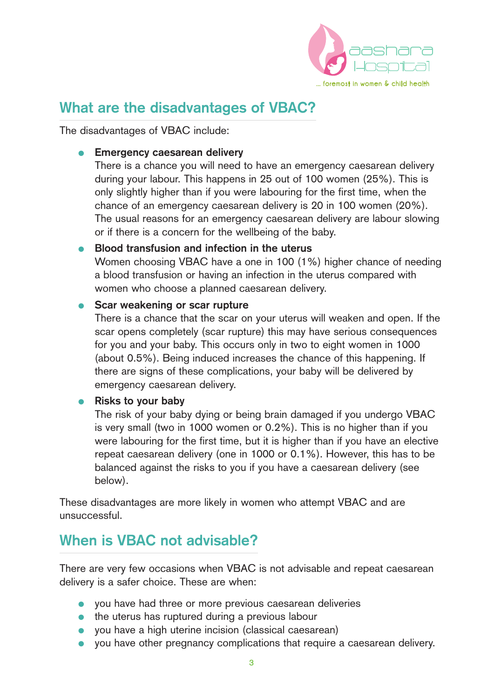

### **What are the disadvantages of VBAC?**

The disadvantages of VBAC include:

#### **• Emergency caesarean delivery**

There is a chance you will need to have an emergency caesarean delivery during your labour. This happens in 25 out of 100 women (25%). This is only slightly higher than if you were labouring for the first time, when the chance of an emergency caesarean delivery is 20 in 100 women (20%). The usual reasons for an emergency caesarean delivery are labour slowing or if there is a concern for the wellbeing of the baby.

#### ● **Blood transfusion and infection in the uterus**

Women choosing VBAC have a one in 100 (1%) higher chance of needing a blood transfusion or having an infection in the uterus compared with women who choose a planned caesarean delivery.

#### ● **Scar weakening or scar rupture**

There is a chance that the scar on your uterus will weaken and open. If the scar opens completely (scar rupture) this may have serious consequences for you and your baby. This occurs only in two to eight women in 1000 (about 0.5%). Being induced increases the chance of this happening. If there are signs of these complications, your baby will be delivered by emergency caesarean delivery.

#### ● **Risks to your baby**

The risk of your baby dying or being brain damaged if you undergo VBAC is very small (two in 1000 women or 0.2%). This is no higher than if you were labouring for the first time, but it is higher than if you have an elective repeat caesarean delivery (one in 1000 or 0.1%). However, this has to be balanced against the risks to you if you have a caesarean delivery (see below).

These disadvantages are more likely in women who attempt VBAC and are unsuccessful.

### **When is VBAC not advisable?**

There are very few occasions when VBAC is not advisable and repeat caesarean delivery is a safer choice. These are when:

- you have had three or more previous caesarean deliveries
- the uterus has ruptured during a previous labour
- vou have a high uterine incision (classical caesarean)
- you have other pregnancy complications that require a caesarean delivery.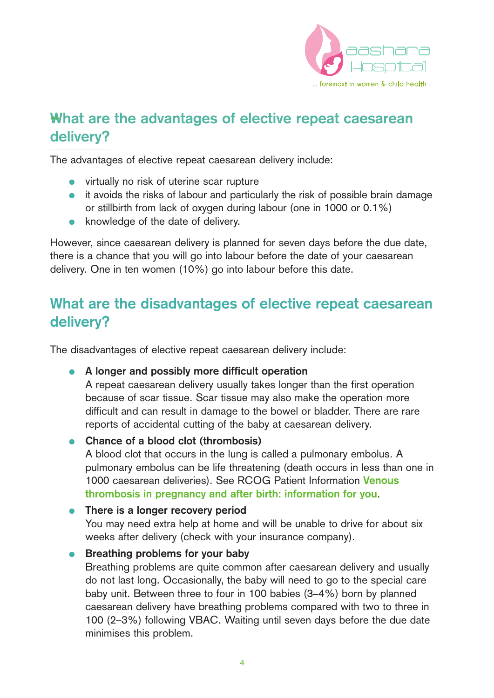

# ••**What are the advantages of elective repeat caesarean delivery?**

The advantages of elective repeat caesarean delivery include:

- virtually no risk of uterine scar rupture
- it avoids the risks of labour and particularly the risk of possible brain damage or stillbirth from lack of oxygen during labour (one in 1000 or 0.1%)
- knowledge of the date of delivery.

However, since caesarean delivery is planned for seven days before the due date, there is a chance that you will go into labour before the date of your caesarean delivery. One in ten women (10%) go into labour before this date.

## **What are the disadvantages of elective repeat caesarean delivery?**

The disadvantages of elective repeat caesarean delivery include:

#### ● **A longer and possibly more difficult operation**

A repeat caesarean delivery usually takes longer than the first operation because of scar tissue. Scar tissue may also make the operation more difficult and can result in damage to the bowel or bladder. There are rare reports of accidental cutting of the baby at caesarean delivery.

#### ● **Chance of a blood clot (thrombosis)**

A blood clot that occurs in the lung is called a pulmonary embolus. A pulmonary embolus can be life threatening (death occurs in less than one in 1000 caesarean deliveries). See RCOG Patient Information **Venous thrombosis in pregnancy and after birth: information for you**.

#### ● **There is a longer recovery period**

You may need extra help at home and will be unable to drive for about six weeks after delivery (check with your insurance company).

#### **•** Breathing problems for your baby

Breathing problems are quite common after caesarean delivery and usually do not last long. Occasionally, the baby will need to go to the special care baby unit. Between three to four in 100 babies (3–4%) born by planned caesarean delivery have breathing problems compared with two to three in 100 (2–3%) following VBAC. Waiting until seven days before the due date minimises this problem.